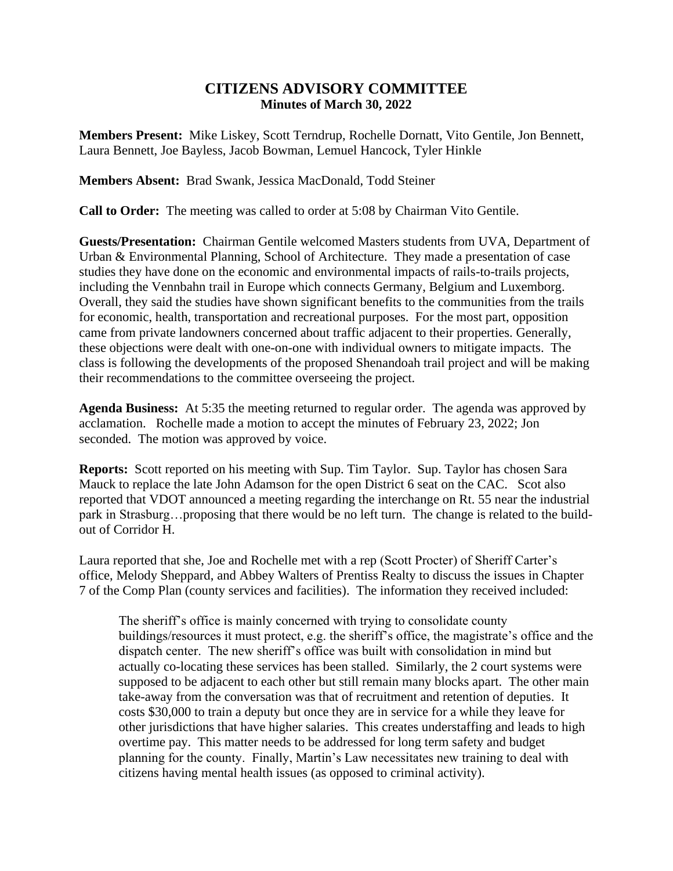## **CITIZENS ADVISORY COMMITTEE Minutes of March 30, 2022**

**Members Present:** Mike Liskey, Scott Terndrup, Rochelle Dornatt, Vito Gentile, Jon Bennett, Laura Bennett, Joe Bayless, Jacob Bowman, Lemuel Hancock, Tyler Hinkle

**Members Absent:** Brad Swank, Jessica MacDonald, Todd Steiner

**Call to Order:** The meeting was called to order at 5:08 by Chairman Vito Gentile.

**Guests/Presentation:** Chairman Gentile welcomed Masters students from UVA, Department of Urban & Environmental Planning, School of Architecture. They made a presentation of case studies they have done on the economic and environmental impacts of rails-to-trails projects, including the Vennbahn trail in Europe which connects Germany, Belgium and Luxemborg. Overall, they said the studies have shown significant benefits to the communities from the trails for economic, health, transportation and recreational purposes. For the most part, opposition came from private landowners concerned about traffic adjacent to their properties. Generally, these objections were dealt with one-on-one with individual owners to mitigate impacts. The class is following the developments of the proposed Shenandoah trail project and will be making their recommendations to the committee overseeing the project.

**Agenda Business:** At 5:35 the meeting returned to regular order. The agenda was approved by acclamation. Rochelle made a motion to accept the minutes of February 23, 2022; Jon seconded. The motion was approved by voice.

**Reports:** Scott reported on his meeting with Sup. Tim Taylor. Sup. Taylor has chosen Sara Mauck to replace the late John Adamson for the open District 6 seat on the CAC. Scot also reported that VDOT announced a meeting regarding the interchange on Rt. 55 near the industrial park in Strasburg…proposing that there would be no left turn. The change is related to the buildout of Corridor H.

Laura reported that she, Joe and Rochelle met with a rep (Scott Procter) of Sheriff Carter's office, Melody Sheppard, and Abbey Walters of Prentiss Realty to discuss the issues in Chapter 7 of the Comp Plan (county services and facilities). The information they received included:

The sheriff's office is mainly concerned with trying to consolidate county buildings/resources it must protect, e.g. the sheriff's office, the magistrate's office and the dispatch center. The new sheriff's office was built with consolidation in mind but actually co-locating these services has been stalled. Similarly, the 2 court systems were supposed to be adjacent to each other but still remain many blocks apart. The other main take-away from the conversation was that of recruitment and retention of deputies. It costs \$30,000 to train a deputy but once they are in service for a while they leave for other jurisdictions that have higher salaries. This creates understaffing and leads to high overtime pay. This matter needs to be addressed for long term safety and budget planning for the county. Finally, Martin's Law necessitates new training to deal with citizens having mental health issues (as opposed to criminal activity).